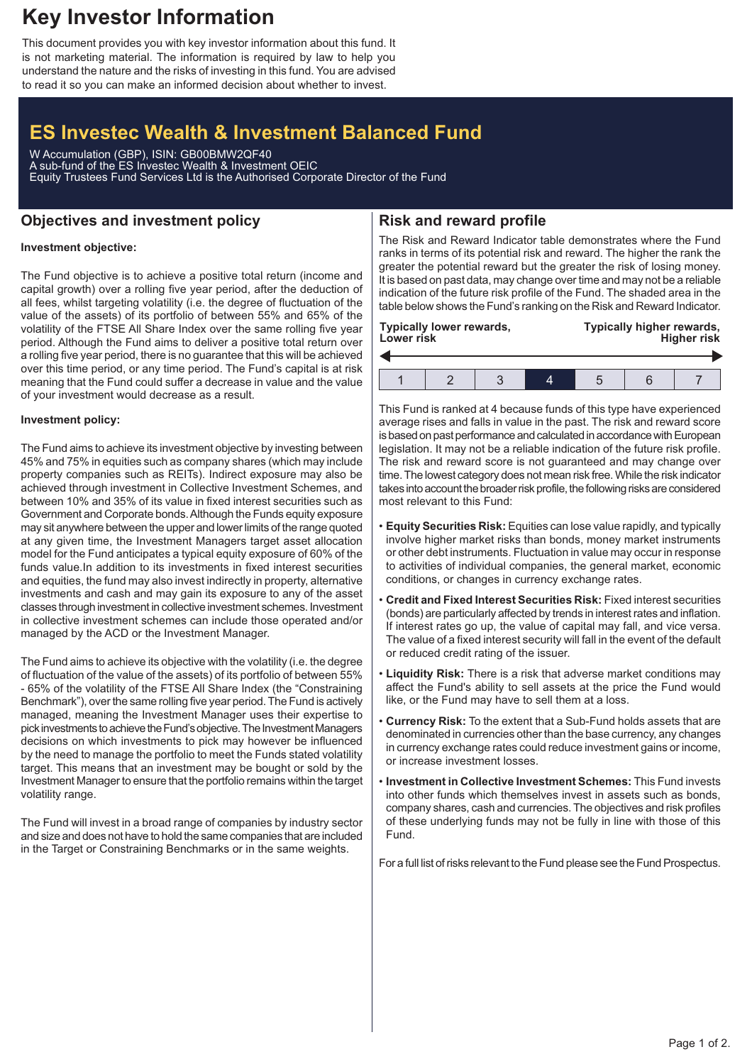# **Key Investor Information**

This document provides you with key investor information about this fund. It is not marketing material. The information is required by law to help you understand the nature and the risks of investing in this fund. You are advised to read it so you can make an informed decision about whether to invest.

# **ES Investec Wealth & Investment Balanced Fund**

W Accumulation (GBP), ISIN: GB00BMW2QF40 A sub-fund of the ES Investec Wealth & Investment OEIC Equity Trustees Fund Services Ltd is the Authorised Corporate Director of the Fund

## **Objectives and investment policy**

# **Risk and reward profile**

## **Investment objective:**

The Fund objective is to achieve a positive total return (income and capital growth) over a rolling five year period, after the deduction of all fees, whilst targeting volatility (i.e. the degree of fluctuation of the value of the assets) of its portfolio of between 55% and 65% of the volatility of the FTSE All Share Index over the same rolling five year period. Although the Fund aims to deliver a positive total return over a rolling five year period, there is no guarantee that this will be achieved over this time period, or any time period. The Fund's capital is at risk meaning that the Fund could suffer a decrease in value and the value of your investment would decrease as a result.

#### **Investment policy:**

The Fund aims to achieve its investment objective by investing between 45% and 75% in equities such as company shares (which may include property companies such as REITs). Indirect exposure may also be achieved through investment in Collective Investment Schemes, and between 10% and 35% of its value in fixed interest securities such as Government and Corporate bonds.Although the Funds equity exposure may sit anywhere between the upper and lower limits of the range quoted at any given time, the Investment Managers target asset allocation model for the Fund anticipates a typical equity exposure of 60% of the funds value.In addition to its investments in fixed interest securities and equities, the fund may also invest indirectly in property, alternative investments and cash and may gain its exposure to any of the asset classes through investment in collective investment schemes. Investment in collective investment schemes can include those operated and/or managed by the ACD or the Investment Manager.

The Fund aims to achieve its objective with the volatility (i.e. the degree of fluctuation of the value of the assets) of its portfolio of between 55% - 65% of the volatility of the FTSE All Share Index (the "Constraining Benchmark"), over the same rolling five year period. The Fund is actively managed, meaning the Investment Manager uses their expertise to pick investments to achieve the Fund's objective. The Investment Managers decisions on which investments to pick may however be influenced by the need to manage the portfolio to meet the Funds stated volatility target. This means that an investment may be bought or sold by the Investment Manager to ensure that the portfolio remains within the target volatility range.

The Fund will invest in a broad range of companies by industry sector and size and does not have to hold the same companies that are included in the Target or Constraining Benchmarks or in the same weights.

The Risk and Reward Indicator table demonstrates where the Fund ranks in terms of its potential risk and reward. The higher the rank the greater the potential reward but the greater the risk of losing money. It is based on past data, may change over time and may not be a reliable indication of the future risk profile of the Fund. The shaded area in the table below shows the Fund's ranking on the Risk and Reward Indicator.

| <b>Typically lower rewards,</b><br><b>Lower risk</b> |  |  |  | Typically higher rewards,<br><b>Higher risk</b> |  |  |
|------------------------------------------------------|--|--|--|-------------------------------------------------|--|--|
|                                                      |  |  |  |                                                 |  |  |
|                                                      |  |  |  |                                                 |  |  |

This Fund is ranked at 4 because funds of this type have experienced average rises and falls in value in the past. The risk and reward score is based on past performance and calculated in accordance with European legislation. It may not be a reliable indication of the future risk profile. The risk and reward score is not guaranteed and may change over time. The lowest category does not mean risk free.While the risk indicator takes into account the broader risk profile, the following risks are considered most relevant to this Fund:

- **Equity Securities Risk:** Equities can lose value rapidly, and typically involve higher market risks than bonds, money market instruments or other debt instruments. Fluctuation in value may occur in response to activities of individual companies, the general market, economic conditions, or changes in currency exchange rates.
- **Credit and Fixed Interest Securities Risk:** Fixed interest securities (bonds) are particularly affected by trends in interest rates and inflation. If interest rates go up, the value of capital may fall, and vice versa. The value of a fixed interest security will fall in the event of the default or reduced credit rating of the issuer.
- **Liquidity Risk:** There is a risk that adverse market conditions may affect the Fund's ability to sell assets at the price the Fund would like, or the Fund may have to sell them at a loss.
- **Currency Risk:** To the extent that a Sub-Fund holds assets that are denominated in currencies other than the base currency, any changes in currency exchange rates could reduce investment gains or income, or increase investment losses.
- **Investment in Collective Investment Schemes:** This Fund invests into other funds which themselves invest in assets such as bonds, company shares, cash and currencies. The objectives and risk profiles of these underlying funds may not be fully in line with those of this Fund.

For a full list of risks relevant to the Fund please see the Fund Prospectus.